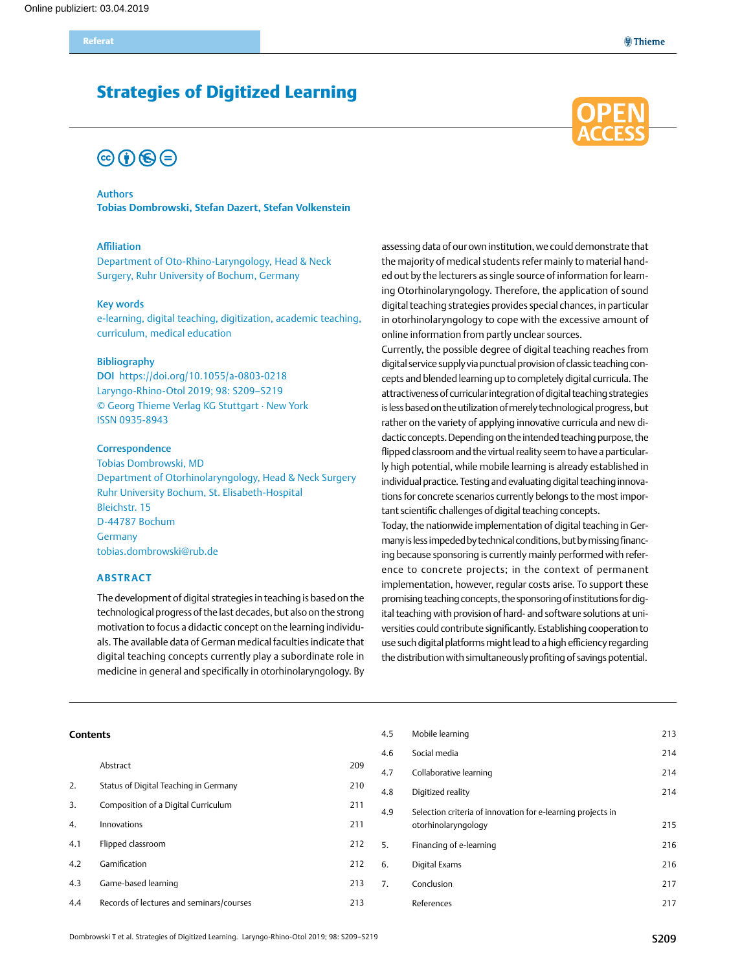## Strategies of Digitized Learning



**@Thieme** 

# $\circledcirc$  (i)  $\circledcirc$   $\circledcirc$

#### Authors

**Tobias Dombrowski, Stefan Dazert, Stefan Volkenstein**

## Affiliation

Department of Oto-Rhino-Laryngology, Head & Neck Surgery, Ruhr University of Bochum, Germany

#### Key words

e-learning, digital teaching, digitization, academic teaching, curriculum, medical education

#### Bibliography

DOI https://doi.org/10.1055/a-0803-0218 Laryngo-Rhino-Otol 2019; 98: S209–S219 © Georg Thieme Verlag KG Stuttgart · New York ISSN 0935-8943

#### **Correspondence**

Tobias Dombrowski, MD Department of Otorhinolaryngology, Head & Neck Surgery Ruhr University Bochum, St. Elisabeth-Hospital Bleichstr. 15 D-44787 Bochum Germany [tobias.dombrowski@rub.de](mailto:tobias.dombrowski@rub.de)

#### **Abstract**

The development of digital strategies in teaching is based on the technological progress of the last decades, but also on the strong motivation to focus a didactic concept on the learning individuals. The available data of German medical faculties indicate that digital teaching concepts currently play a subordinate role in medicine in general and specifically in otorhinolaryngology. By

## assessing data of our own institution, we could demonstrate that the majority of medical students refer mainly to material handed out by the lecturers as single source of information for learning Otorhinolaryngology. Therefore, the application of sound digital teaching strategies provides special chances, in particular in otorhinolaryngology to cope with the excessive amount of online information from partly unclear sources.

Currently, the possible degree of digital teaching reaches from digital service supply via punctual provision of classic teaching concepts and blended learning up to completely digital curricula. The attractiveness of curricular integration of digital teaching strategies is less based on the utilization of merely technological progress, but rather on the variety of applying innovative curricula and new didactic concepts. Depending on the intended teaching purpose, the flipped classroom and the virtual reality seem to have a particularly high potential, while mobile learning is already established in individual practice. Testing and evaluating digital teaching innovations for concrete scenarios currently belongs to the most important scientific challenges of digital teaching concepts.

Today, the nationwide implementation of digital teaching in Germany is less impeded by technical conditions, but by missing financing because sponsoring is currently mainly performed with reference to concrete projects; in the context of permanent implementation, however, regular costs arise. To support these promising teaching concepts, the sponsoring of institutions for digital teaching with provision of hard- and software solutions at universities could contribute significantly. Establishing cooperation to use such digital platforms might lead to a high efficiency regarding the distribution with simultaneously profiting of savings potential.

#### **Contents**

| <b>Contents</b> |                                          |     | 4.5            | Mobile learning                                             | 213 |
|-----------------|------------------------------------------|-----|----------------|-------------------------------------------------------------|-----|
|                 |                                          |     | 4.6            | Social media                                                | 214 |
|                 | Abstract                                 | 209 | 4.7            | Collaborative learning                                      | 214 |
| 2.              | Status of Digital Teaching in Germany    | 210 | 4.8            | Digitized reality                                           | 214 |
| 3.              | Composition of a Digital Curriculum      | 211 | 4.9            | Selection criteria of innovation for e-learning projects in |     |
| 4.              | Innovations                              | 211 |                | otorhinolaryngology                                         | 215 |
| 4.1             | Flipped classroom                        | 212 | 5.             | Financing of e-learning                                     | 216 |
| 4.2             | Gamification                             | 212 | 6.             | Digital Exams                                               | 216 |
| 4.3             | Game-based learning                      | 213 | 7 <sub>1</sub> | Conclusion                                                  | 217 |
| 4.4             | Records of lectures and seminars/courses | 213 |                | References                                                  | 217 |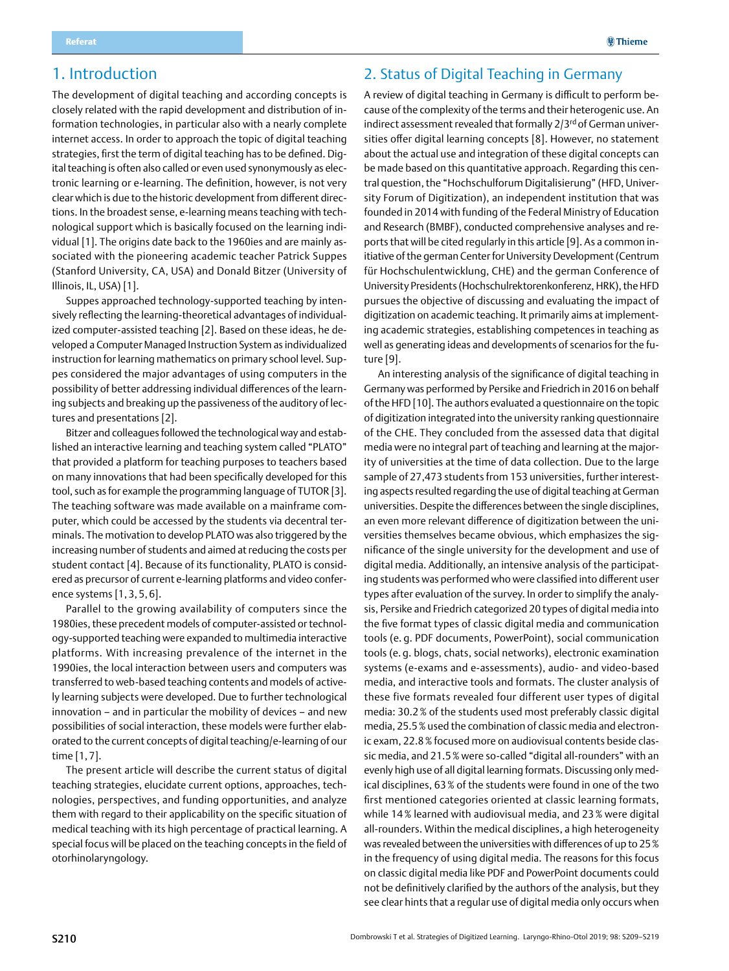<span id="page-1-0"></span>The development of digital teaching and according concepts is closely related with the rapid development and distribution of information technologies, in particular also with a nearly complete internet access. In order to approach the topic of digital teaching strategies, first the term of digital teaching has to be defined. Digital teaching is often also called or even used synonymously as electronic learning or e-learning. The definition, however, is not very clear which is due to the historic development from different directions. In the broadest sense, e-learning means teaching with technological support which is basically focused on the learning individual [1]. The origins date back to the 1960ies and are mainly associated with the pioneering academic teacher Patrick Suppes (Stanford University, CA, USA) and Donald Bitzer (University of Illinois, IL, USA) [1].

Suppes approached technology-supported teaching by intensively reflecting the learning-theoretical advantages of individualized computer-assisted teaching [2]. Based on these ideas, he developed a Computer Managed Instruction System as individualized instruction for learning mathematics on primary school level. Suppes considered the major advantages of using computers in the possibility of better addressing individual differences of the learning subjects and breaking up the passiveness of the auditory of lectures and presentations [2].

Bitzer and colleagues followed the technological way and established an interactive learning and teaching system called "PLATO" that provided a platform for teaching purposes to teachers based on many innovations that had been specifically developed for this tool, such as for example the programming language of TUTOR [3]. The teaching software was made available on a mainframe computer, which could be accessed by the students via decentral terminals. The motivation to develop PLATO was also triggered by the increasing number of students and aimed at reducing the costs per student contact [4]. Because of its functionality, PLATO is considered as precursor of current e-learning platforms and video conference systems [1, 3, 5, 6].

Parallel to the growing availability of computers since the 1980ies, these precedent models of computer-assisted or technology-supported teaching were expanded to multimedia interactive platforms. With increasing prevalence of the internet in the 1990ies, the local interaction between users and computers was transferred to web-based teaching contents and models of actively learning subjects were developed. Due to further technological innovation – and in particular the mobility of devices – and new possibilities of social interaction, these models were further elaborated to the current concepts of digital teaching/e-learning of our time [1, 7].

The present article will describe the current status of digital teaching strategies, elucidate current options, approaches, technologies, perspectives, and funding opportunities, and analyze them with regard to their applicability on the specific situation of medical teaching with its high percentage of practical learning. A special focus will be placed on the teaching concepts in the field of otorhinolaryngology.

## 2. Status of Digital Teaching in Germany

A review of digital teaching in Germany is difficult to perform because of the complexity of the terms and their heterogenic use. An indirect assessment revealed that formally 2/3<sup>rd</sup> of German universities offer digital learning concepts [8]. However, no statement about the actual use and integration of these digital concepts can be made based on this quantitative approach. Regarding this central question, the "Hochschulforum Digitalisierung" (HFD, University Forum of Digitization), an independent institution that was founded in 2014 with funding of the Federal Ministry of Education and Research (BMBF), conducted comprehensive analyses and reports that will be cited regularly in this article [9]. As a common initiative of the german Center for University Development (Centrum für Hochschulentwicklung, CHE) and the german Conference of University Presidents (Hochschulrektorenkonferenz, HRK), the HFD pursues the objective of discussing and evaluating the impact of digitization on academic teaching. It primarily aims at implementing academic strategies, establishing competences in teaching as well as generating ideas and developments of scenarios for the future [9].

An interesting analysis of the significance of digital teaching in Germany was performed by Persike and Friedrich in 2016 on behalf of the HFD [10]. The authors evaluated a questionnaire on the topic of digitization integrated into the university ranking questionnaire of the CHE. They concluded from the assessed data that digital media were no integral part of teaching and learning at the majority of universities at the time of data collection. Due to the large sample of 27,473 students from 153 universities, further interesting aspects resulted regarding the use of digital teaching at German universities. Despite the differences between the single disciplines, an even more relevant difference of digitization between the universities themselves became obvious, which emphasizes the significance of the single university for the development and use of digital media. Additionally, an intensive analysis of the participating students was performed who were classified into different user types after evaluation of the survey. In order to simplify the analysis, Persike and Friedrich categorized 20 types of digital media into the five format types of classic digital media and communication tools (e. g. PDF documents, PowerPoint), social communication tools (e. g. blogs, chats, social networks), electronic examination systems (e-exams and e-assessments), audio- and video-based media, and interactive tools and formats. The cluster analysis of these five formats revealed four different user types of digital media: 30.2% of the students used most preferably classic digital media, 25.5% used the combination of classic media and electronic exam, 22.8% focused more on audiovisual contents beside classic media, and 21.5% were so-called "digital all-rounders" with an evenly high use of all digital learning formats. Discussing only medical disciplines, 63% of the students were found in one of the two first mentioned categories oriented at classic learning formats, while 14% learned with audiovisual media, and 23% were digital all-rounders. Within the medical disciplines, a high heterogeneity was revealed between the universities with differences of up to 25% in the frequency of using digital media. The reasons for this focus on classic digital media like PDF and PowerPoint documents could not be definitively clarified by the authors of the analysis, but they see clear hints that a regular use of digital media only occurs when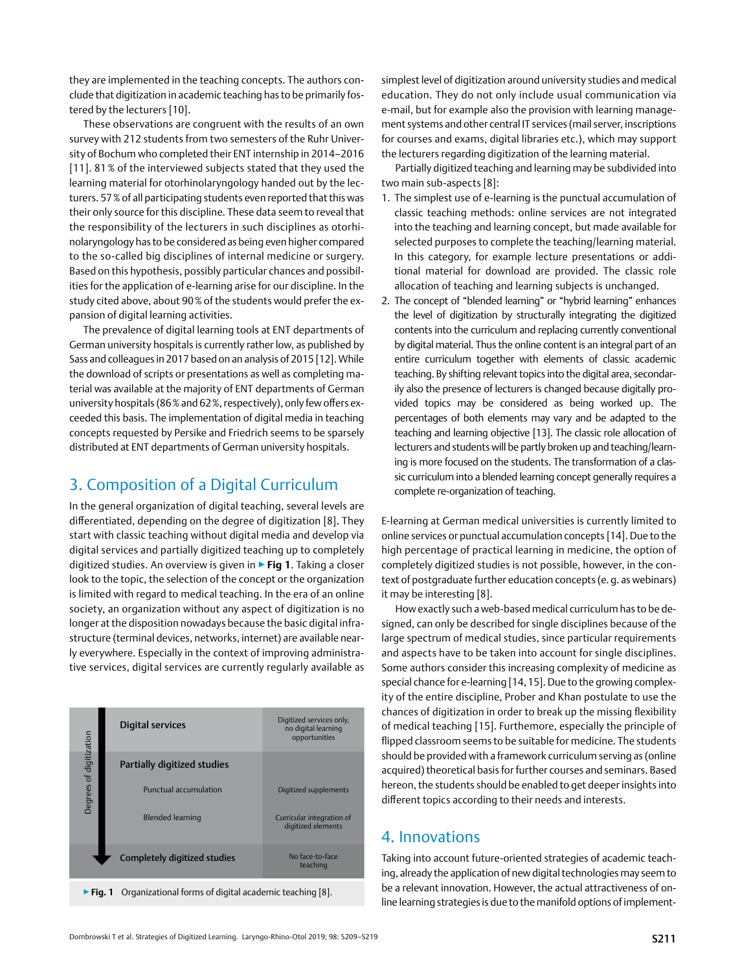<span id="page-2-0"></span>they are implemented in the teaching concepts. The authors conclude that digitization in academic teaching has to be primarily fostered by the lecturers [10].

These observations are congruent with the results of an own survey with 212 students from two semesters of the Ruhr University of Bochum who completed their ENT internship in 2014–2016 [11]. 81 % of the interviewed subjects stated that they used the learning material for otorhinolaryngology handed out by the lecturers. 57% of all participating students even reported that this was their only source for this discipline. These data seem to reveal that the responsibility of the lecturers in such disciplines as otorhinolaryngology has to be considered as being even higher compared to the so-called big disciplines of internal medicine or surgery. Based on this hypothesis, possibly particular chances and possibilities for the application of e-learning arise for our discipline. In the study cited above, about 90% of the students would prefer the expansion of digital learning activities.

The prevalence of digital learning tools at ENT departments of German university hospitals is currently rather low, as published by Sass and colleagues in 2017 based on an analysis of 2015 [12]. While the download of scripts or presentations as well as completing material was available at the majority of ENT departments of German university hospitals (86% and 62%, respectively), only few offers exceeded this basis. The implementation of digital media in teaching concepts requested by Persike and Friedrich seems to be sparsely distributed at ENT departments of German university hospitals.

## 3. Composition of a Digital Curriculum

In the general organization of digital teaching, several levels are differentiated, depending on the degree of digitization [8]. They start with classic teaching without digital media and develop via digital services and partially digitized teaching up to completely digitized studies. An overview is given in ▶**Fig 1**. Taking a closer look to the topic, the selection of the concept or the organization is limited with regard to medical teaching. In the era of an online society, an organization without any aspect of digitization is no longer at the disposition nowadays because the basic digital infrastructure (terminal devices, networks, internet) are available nearly everywhere. Especially in the context of improving administrative services, digital services are currently regularly available as



simplest level of digitization around university studies and medical education. They do not only include usual communication via e-mail, but for example also the provision with learning management systems and other central IT services (mail server, inscriptions for courses and exams, digital libraries etc.), which may support the lecturers regarding digitization of the learning material.

Partially digitized teaching and learning may be subdivided into two main sub-aspects [8]:

- 1. The simplest use of e-learning is the punctual accumulation of classic teaching methods: online services are not integrated into the teaching and learning concept, but made available for selected purposes to complete the teaching/learning material. In this category, for example lecture presentations or additional material for download are provided. The classic role allocation of teaching and learning subjects is unchanged.
- 2. The concept of "blended learning" or "hybrid learning" enhances the level of digitization by structurally integrating the digitized contents into the curriculum and replacing currently conventional by digital material. Thus the online content is an integral part of an entire curriculum together with elements of classic academic teaching. By shifting relevant topics into the digital area, secondarily also the presence of lecturers is changed because digitally provided topics may be considered as being worked up. The percentages of both elements may vary and be adapted to the teaching and learning objective [13]. The classic role allocation of lecturers and students will be partly broken up and teaching/learning is more focused on the students. The transformation of a classic curriculum into a blended learning concept generally requires a complete re-organization of teaching.

E-learning at German medical universities is currently limited to online services or punctual accumulation concepts [14]. Due to the high percentage of practical learning in medicine, the option of completely digitized studies is not possible, however, in the context of postgraduate further education concepts (e. g. as webinars) it may be interesting [8].

How exactly such a web-based medical curriculum has to be designed, can only be described for single disciplines because of the large spectrum of medical studies, since particular requirements and aspects have to be taken into account for single disciplines. Some authors consider this increasing complexity of medicine as special chance for e-learning [14,15]. Due to the growing complexity of the entire discipline, Prober and Khan postulate to use the chances of digitization in order to break up the missing flexibility of medical teaching [15]. Furthemore, especially the principle of flipped classroom seems to be suitable for medicine. The students should be provided with a framework curriculum serving as (online acquired) theoretical basis for further courses and seminars. Based hereon, the students should be enabled to get deeper insights into different topics according to their needs and interests.

## 4. Innovations

Taking into account future-oriented strategies of academic teaching, already the application of new digital technologies may seem to be a relevant innovation. However, the actual attractiveness of online learning strategies is due to the manifold options of implement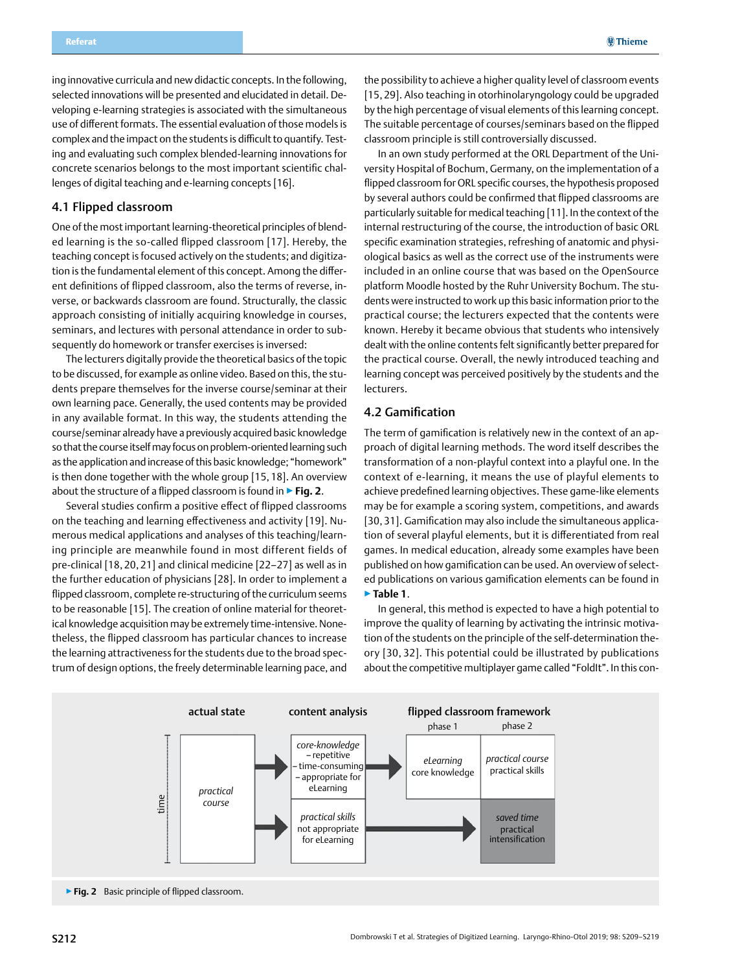<span id="page-3-0"></span>ing innovative curricula and new didactic concepts. In the following, selected innovations will be presented and elucidated in detail. Developing e-learning strategies is associated with the simultaneous use of different formats. The essential evaluation of those models is complex and the impact on the students is difficult to quantify. Testing and evaluating such complex blended-learning innovations for concrete scenarios belongs to the most important scientific challenges of digital teaching and e-learning concepts [16].

## 4.1 Flipped classroom

One of the most important learning-theoretical principles of blended learning is the so-called flipped classroom [17]. Hereby, the teaching concept is focused actively on the students; and digitization is the fundamental element of this concept. Among the different definitions of flipped classroom, also the terms of reverse, inverse, or backwards classroom are found. Structurally, the classic approach consisting of initially acquiring knowledge in courses, seminars, and lectures with personal attendance in order to subsequently do homework or transfer exercises is inversed:

The lecturers digitally provide the theoretical basics of the topic to be discussed, for example as online video. Based on this, the students prepare themselves for the inverse course/seminar at their own learning pace. Generally, the used contents may be provided in any available format. In this way, the students attending the course/seminar already have a previously acquired basic knowledge so that the course itself may focus on problem-oriented learning such as the application and increase of this basic knowledge; "homework" is then done together with the whole group [15, 18]. An overview about the structure of a flipped classroom is found in ▶**Fig. 2**.

Several studies confirm a positive effect of flipped classrooms on the teaching and learning effectiveness and activity [19]. Numerous medical applications and analyses of this teaching/learning principle are meanwhile found in most different fields of pre-clinical [18, 20, 21] and clinical medicine [22–27] as well as in the further education of physicians [28]. In order to implement a flipped classroom, complete re-structuring of the curriculum seems to be reasonable [15]. The creation of online material for theoretical knowledge acquisition may be extremely time-intensive. Nonetheless, the flipped classroom has particular chances to increase the learning attractiveness for the students due to the broad spectrum of design options, the freely determinable learning pace, and

the possibility to achieve a higher quality level of classroom events [15, 29]. Also teaching in otorhinolaryngology could be upgraded by the high percentage of visual elements of this learning concept. The suitable percentage of courses/seminars based on the flipped classroom principle is still controversially discussed.

In an own study performed at the ORL Department of the University Hospital of Bochum, Germany, on the implementation of a flipped classroom for ORL specific courses, the hypothesis proposed by several authors could be confirmed that flipped classrooms are particularly suitable for medical teaching [11]. In the context of the internal restructuring of the course, the introduction of basic ORL specific examination strategies, refreshing of anatomic and physiological basics as well as the correct use of the instruments were included in an online course that was based on the OpenSource platform Moodle hosted by the Ruhr University Bochum. The students were instructed to work up this basic information prior to the practical course; the lecturers expected that the contents were known. Hereby it became obvious that students who intensively dealt with the online contents felt significantly better prepared for the practical course. Overall, the newly introduced teaching and learning concept was perceived positively by the students and the lecturers.

## 4.2 Gamification

The term of gamification is relatively new in the context of an approach of digital learning methods. The word itself describes the transformation of a non-playful context into a playful one. In the context of e-learning, it means the use of playful elements to achieve predefined learning objectives. These game-like elements may be for example a scoring system, competitions, and awards [30, 31]. Gamification may also include the simultaneous application of several playful elements, but it is differentiated from real games. In medical education, already some examples have been published on how gamification can be used. An overview of selected publications on various gamification elements can be found in

#### ▶**Table 1**.

In general, this method is expected to have a high potential to improve the quality of learning by activating the intrinsic motivation of the students on the principle of the self-determination theory [30, 32]. This potential could be illustrated by publications about the competitive multiplayer game called "FoldIt". In this con-

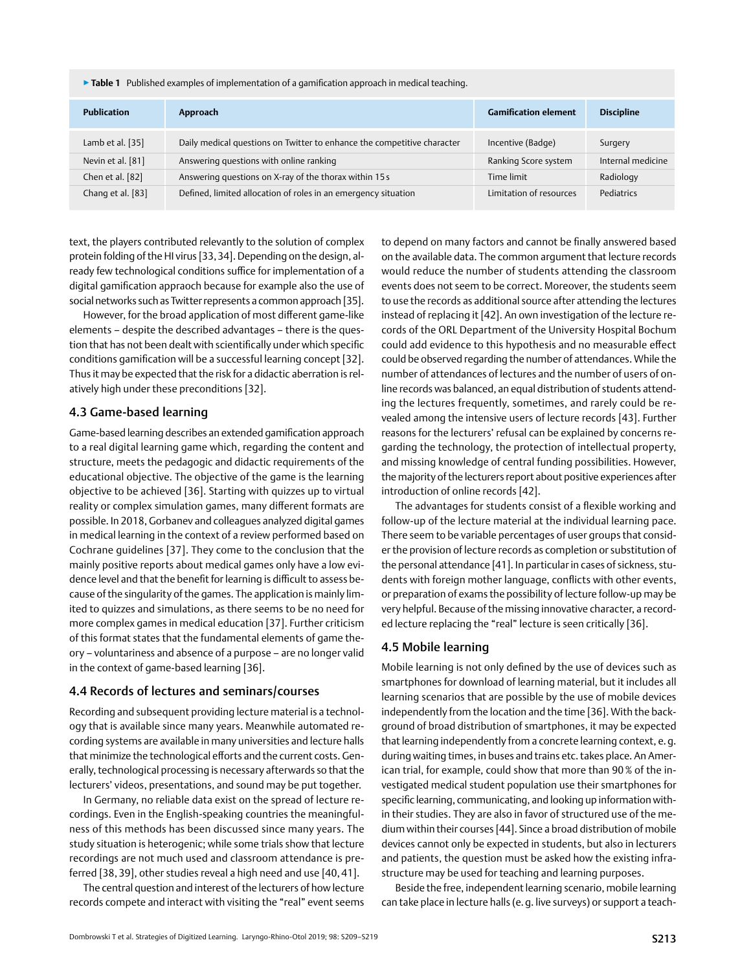<span id="page-4-0"></span>▶**Table 1** Published examples of implementation of a gamification approach in medical teaching.

| <b>Publication</b> | Approach                                                                | <b>Gamification element</b> | <b>Discipline</b> |
|--------------------|-------------------------------------------------------------------------|-----------------------------|-------------------|
| Lamb et al. [35]   | Daily medical questions on Twitter to enhance the competitive character | Incentive (Badge)           | Surgery           |
| Nevin et al. [81]  | Answering questions with online ranking                                 | Ranking Score system        | Internal medicine |
| Chen et al. [82]   | Answering questions on X-ray of the thorax within 15s                   | Time limit                  | Radiology         |
| Chang et al. [83]  | Defined, limited allocation of roles in an emergency situation          | Limitation of resources     | Pediatrics        |

text, the players contributed relevantly to the solution of complex protein folding of the HI virus [33,34]. Depending on the design, already few technological conditions suffice for implementation of a digital gamification appraoch because for example also the use of social networks such as Twitter represents a common approach [35].

However, for the broad application of most different game-like elements – despite the described advantages – there is the question that has not been dealt with scientifically under which specific conditions gamification will be a successful learning concept [32]. Thus it may be expected that the risk for a didactic aberration is relatively high under these preconditions [32].

### 4.3 Game-based learning

Game-based learning describes an extended gamification approach to a real digital learning game which, regarding the content and structure, meets the pedagogic and didactic requirements of the educational objective. The objective of the game is the learning objective to be achieved [36]. Starting with quizzes up to virtual reality or complex simulation games, many different formats are possible. In 2018, Gorbanev and colleagues analyzed digital games in medical learning in the context of a review performed based on Cochrane guidelines [37]. They come to the conclusion that the mainly positive reports about medical games only have a low evidence level and that the benefit for learning is difficult to assess because of the singularity of the games. The application is mainly limited to quizzes and simulations, as there seems to be no need for more complex games in medical education [37]. Further criticism of this format states that the fundamental elements of game theory – voluntariness and absence of a purpose – are no longer valid in the context of game-based learning [36].

#### 4.4 Records of lectures and seminars/courses

Recording and subsequent providing lecture material is a technology that is available since many years. Meanwhile automated recording systems are available in many universities and lecture halls that minimize the technological efforts and the current costs. Generally, technological processing is necessary afterwards so that the lecturers' videos, presentations, and sound may be put together.

In Germany, no reliable data exist on the spread of lecture recordings. Even in the English-speaking countries the meaningfulness of this methods has been discussed since many years. The study situation is heterogenic; while some trials show that lecture recordings are not much used and classroom attendance is preferred [38, 39], other studies reveal a high need and use [40, 41].

The central question and interest of the lecturers of how lecture records compete and interact with visiting the "real" event seems to depend on many factors and cannot be finally answered based on the available data. The common argument that lecture records would reduce the number of students attending the classroom events does not seem to be correct. Moreover, the students seem to use the records as additional source after attending the lectures instead of replacing it [42]. An own investigation of the lecture records of the ORL Department of the University Hospital Bochum could add evidence to this hypothesis and no measurable effect could be observed regarding the number of attendances. While the number of attendances of lectures and the number of users of online records was balanced, an equal distribution of students attending the lectures frequently, sometimes, and rarely could be revealed among the intensive users of lecture records [43]. Further reasons for the lecturers' refusal can be explained by concerns regarding the technology, the protection of intellectual property, and missing knowledge of central funding possibilities. However, the majority of the lecturers report about positive experiences after introduction of online records [42].

The advantages for students consist of a flexible working and follow-up of the lecture material at the individual learning pace. There seem to be variable percentages of user groups that consider the provision of lecture records as completion or substitution of the personal attendance [41]. In particular in cases of sickness, students with foreign mother language, conflicts with other events, or preparation of exams the possibility of lecture follow-up may be very helpful. Because of the missing innovative character, a recorded lecture replacing the "real" lecture is seen critically [36].

### 4.5 Mobile learning

Mobile learning is not only defined by the use of devices such as smartphones for download of learning material, but it includes all learning scenarios that are possible by the use of mobile devices independently from the location and the time [36]. With the background of broad distribution of smartphones, it may be expected that learning independently from a concrete learning context, e.g. during waiting times, in buses and trains etc. takes place. An American trial, for example, could show that more than 90% of the investigated medical student population use their smartphones for specific learning, communicating, and looking up information within their studies. They are also in favor of structured use of the medium within their courses [44]. Since a broad distribution of mobile devices cannot only be expected in students, but also in lecturers and patients, the question must be asked how the existing infrastructure may be used for teaching and learning purposes.

Beside the free, independent learning scenario, mobile learning can take place in lecture halls (e.g. live surveys) or support a teach-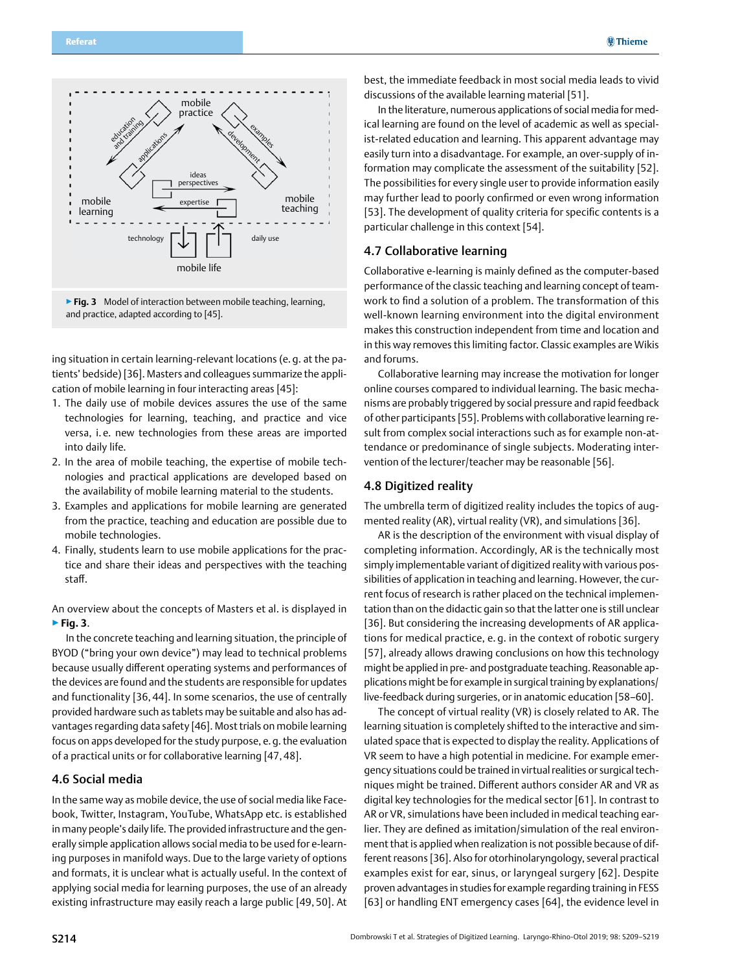<span id="page-5-0"></span>



- 1. The daily use of mobile devices assures the use of the same technologies for learning, teaching, and practice and vice versa, i. e. new technologies from these areas are imported into daily life.
- 2. In the area of mobile teaching, the expertise of mobile technologies and practical applications are developed based on the availability of mobile learning material to the students.
- 3. Examples and applications for mobile learning are generated from the practice, teaching and education are possible due to mobile technologies.
- 4. Finally, students learn to use mobile applications for the practice and share their ideas and perspectives with the teaching staff.

An overview about the concepts of Masters et al. is displayed in ▶**Fig. 3**.

In the concrete teaching and learning situation, the principle of BYOD ("bring your own device") may lead to technical problems because usually different operating systems and performances of the devices are found and the students are responsible for updates and functionality [36, 44]. In some scenarios, the use of centrally provided hardware such as tablets may be suitable and also has advantages regarding data safety [46]. Most trials on mobile learning focus on apps developed for the study purpose, e.g. the evaluation of a practical units or for collaborative learning [47, 48].

## 4.6 Social media

In the same way as mobile device, the use of social media like Facebook, Twitter, Instagram, YouTube, WhatsApp etc. is established in many people's daily life. The provided infrastructure and the generally simple application allows social media to be used for e-learning purposes in manifold ways. Due to the large variety of options and formats, it is unclear what is actually useful. In the context of applying social media for learning purposes, the use of an already existing infrastructure may easily reach a large public [49, 50]. At

best, the immediate feedback in most social media leads to vivid discussions of the available learning material [51].

In the literature, numerous applications of social media for medical learning are found on the level of academic as well as specialist-related education and learning. This apparent advantage may easily turn into a disadvantage. For example, an over-supply of information may complicate the assessment of the suitability [52]. The possibilities for every single user to provide information easily may further lead to poorly confirmed or even wrong information [53]. The development of quality criteria for specific contents is a particular challenge in this context [54].

## 4.7 Collaborative learning

Collaborative e-learning is mainly defined as the computer-based performance of the classic teaching and learning concept of teamwork to find a solution of a problem. The transformation of this well-known learning environment into the digital environment makes this construction independent from time and location and in this way removes this limiting factor. Classic examples are Wikis and forums.

Collaborative learning may increase the motivation for longer online courses compared to individual learning. The basic mechanisms are probably triggered by social pressure and rapid feedback of other participants [55]. Problems with collaborative learning result from complex social interactions such as for example non-attendance or predominance of single subjects. Moderating intervention of the lecturer/teacher may be reasonable [56].

### 4.8 Digitized reality

The umbrella term of digitized reality includes the topics of augmented reality (AR), virtual reality (VR), and simulations [36].

AR is the description of the environment with visual display of completing information. Accordingly, AR is the technically most simply implementable variant of digitized reality with various possibilities of application in teaching and learning. However, the current focus of research is rather placed on the technical implementation than on the didactic gain so that the latter one is still unclear [36]. But considering the increasing developments of AR applications for medical practice, e. g. in the context of robotic surgery [57], already allows drawing conclusions on how this technology might be applied in pre- and postgraduate teaching. Reasonable applications might be for example in surgical training by explanations/ live-feedback during surgeries, or in anatomic education [58–60].

The concept of virtual reality (VR) is closely related to AR. The learning situation is completely shifted to the interactive and simulated space that is expected to display the reality. Applications of VR seem to have a high potential in medicine. For example emergency situations could be trained in virtual realities or surgical techniques might be trained. Different authors consider AR and VR as digital key technologies for the medical sector [61]. In contrast to AR or VR, simulations have been included in medical teaching earlier. They are defined as imitation/simulation of the real environment that is applied when realization is not possible because of different reasons [36]. Also for otorhinolaryngology, several practical examples exist for ear, sinus, or laryngeal surgery [62]. Despite proven advantages in studies for example regarding training in FESS [63] or handling ENT emergency cases [64], the evidence level in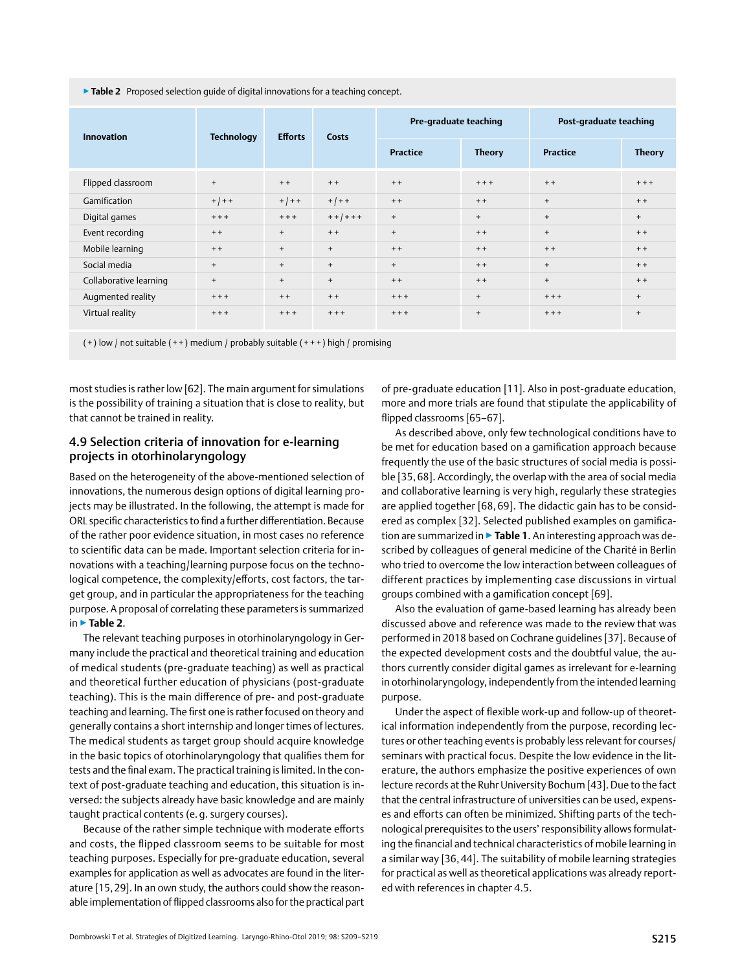<span id="page-6-0"></span>▶ Table 2 Proposed selection quide of digital innovations for a teaching concept.

|                        | <b>Technology</b> | <b>Efforts</b> | <b>Costs</b>  | Pre-graduate teaching |               | Post-graduate teaching |               |  |  |  |
|------------------------|-------------------|----------------|---------------|-----------------------|---------------|------------------------|---------------|--|--|--|
| <b>Innovation</b>      |                   |                |               | <b>Practice</b>       | <b>Theory</b> | <b>Practice</b>        | <b>Theory</b> |  |  |  |
| Flipped classroom      | $\ddot{}$         | $+ +$          | $+ +$         | $+ +$                 | $++$          | $+ +$                  | $++$          |  |  |  |
| Gamification           | $+$   + +         | $+$   + +      | $+$   + +     | $+ +$                 | $+ +$         | $\ddot{}$              | $+ +$         |  |  |  |
| Digital games          | $++$              | $++$           | $+ + + + + +$ | $+$                   | $\ddot{}$     | $^{+}$                 | $+$           |  |  |  |
| Event recording        | $+ +$             | $+$            | $+ +$         | $+$                   | $+ +$         | $^{+}$                 | $+ +$         |  |  |  |
| Mobile learning        | $+ +$             | $+$            | $\ddot{}$     | $+ +$                 | $+ +$         | $+ +$                  | $+ +$         |  |  |  |
| Social media           | $\ddot{}$         | $\ddot{}$      | $\ddot{}$     | $+$                   | $+ +$         | $+$                    | $+ +$         |  |  |  |
| Collaborative learning | $\ddot{}$         | $+$            | $\ddot{}$     | $+ +$                 | $+ +$         | $^{+}$                 | $+ +$         |  |  |  |
| Augmented reality      | $++$              | $+ +$          | $+ +$         | $++$                  | $\ddot{}$     | $++$                   | $+$           |  |  |  |
| Virtual reality        | $++$              | $++$           | $+ + +$       | $++$                  | $\ddot{}$     | $++$                   | $\ddot{}$     |  |  |  |
|                        |                   |                |               |                       |               |                        |               |  |  |  |

 $(+)$  low / not suitable  $(++)$  medium / probably suitable  $(++)$  high / promising

most studies is rather low [62]. The main argument for simulations is the possibility of training a situation that is close to reality, but that cannot be trained in reality.

## 4.9 Selection criteria of innovation for e-learning projects in otorhinolaryngology

Based on the heterogeneity of the above-mentioned selection of innovations, the numerous design options of digital learning projects may be illustrated. In the following, the attempt is made for ORL specific characteristics to find a further differentiation. Because of the rather poor evidence situation, in most cases no reference to scientific data can be made. Important selection criteria for innovations with a teaching/learning purpose focus on the technological competence, the complexity/efforts, cost factors, the target group, and in particular the appropriateness for the teaching purpose. A proposal of correlating these parameters is summarized in ▶**Table 2**.

The relevant teaching purposes in otorhinolaryngology in Germany include the practical and theoretical training and education of medical students (pre-graduate teaching) as well as practical and theoretical further education of physicians (post-graduate teaching). This is the main difference of pre- and post-graduate teaching and learning. The first one is rather focused on theory and generally contains a short internship and longer times of lectures. The medical students as target group should acquire knowledge in the basic topics of otorhinolaryngology that qualifies them for tests and the final exam. The practical training is limited. In the context of post-graduate teaching and education, this situation is inversed: the subjects already have basic knowledge and are mainly taught practical contents (e. g. surgery courses).

Because of the rather simple technique with moderate efforts and costs, the flipped classroom seems to be suitable for most teaching purposes. Especially for pre-graduate education, several examples for application as well as advocates are found in the literature [15,29]. In an own study, the authors could show the reasonable implementation of flipped classrooms also for the practical part

of pre-graduate education [11]. Also in post-graduate education, more and more trials are found that stipulate the applicability of flipped classrooms [65–67].

As described above, only few technological conditions have to be met for education based on a gamification approach because frequently the use of the basic structures of social media is possible [35, 68]. Accordingly, the overlap with the area of social media and collaborative learning is very high, regularly these strategies are applied together [68, 69]. The didactic gain has to be considered as complex [32]. Selected published examples on gamification are summarized in ▶**Table 1**. An interesting approach was described by colleagues of general medicine of the Charité in Berlin who tried to overcome the low interaction between colleagues of different practices by implementing case discussions in virtual groups combined with a gamification concept [69].

Also the evaluation of game-based learning has already been discussed above and reference was made to the review that was performed in 2018 based on Cochrane guidelines [37]. Because of the expected development costs and the doubtful value, the authors currently consider digital games as irrelevant for e-learning in otorhinolaryngology, independently from the intended learning purpose.

Under the aspect of flexible work-up and follow-up of theoretical information independently from the purpose, recording lectures or other teaching events is probably less relevant for courses/ seminars with practical focus. Despite the low evidence in the literature, the authors emphasize the positive experiences of own lecture records at the Ruhr University Bochum [43]. Due to the fact that the central infrastructure of universities can be used, expenses and efforts can often be minimized. Shifting parts of the technological prerequisites to the users' responsibility allows formulating the financial and technical characteristics of mobile learning in a similar way [36, 44]. The suitability of mobile learning strategies for practical as well as theoretical applications was already reported with references in chapter 4.5.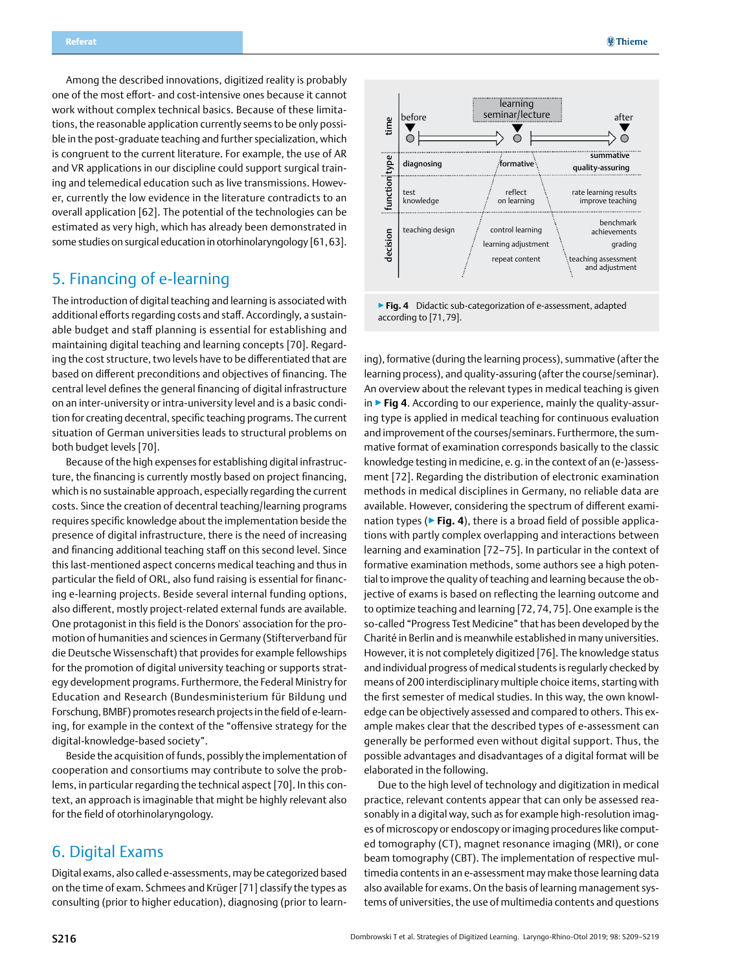<span id="page-7-0"></span>Among the described innovations, digitized reality is probably one of the most effort- and cost-intensive ones because it cannot work without complex technical basics. Because of these limitations, the reasonable application currently seems to be only possible in the post-graduate teaching and further specialization, which is congruent to the current literature. For example, the use of AR and VR applications in our discipline could support surgical training and telemedical education such as live transmissions. However, currently the low evidence in the literature contradicts to an overall application [62]. The potential of the technologies can be estimated as very high, which has already been demonstrated in some studies on surgical education in otorhinolaryngology [61,63].

## 5. Financing of e-learning

The introduction of digital teaching and learning is associated with additional efforts regarding costs and staff. Accordingly, a sustainable budget and staff planning is essential for establishing and maintaining digital teaching and learning concepts [70]. Regarding the cost structure, two levels have to be differentiated that are based on different preconditions and objectives of financing. The central level defines the general financing of digital infrastructure on an inter-university or intra-university level and is a basic condition for creating decentral, specific teaching programs. The current situation of German universities leads to structural problems on both budget levels [70].

Because of the high expenses for establishing digital infrastructure, the financing is currently mostly based on project financing, which is no sustainable approach, especially regarding the current costs. Since the creation of decentral teaching/learning programs requires specific knowledge about the implementation beside the presence of digital infrastructure, there is the need of increasing and financing additional teaching staff on this second level. Since this last-mentioned aspect concerns medical teaching and thus in particular the field of ORL, also fund raising is essential for financing e-learning projects. Beside several internal funding options, also different, mostly project-related external funds are available. One protagonist in this field is the Donors' association for the promotion of humanities and sciences in Germany (Stifterverband für die Deutsche Wissenschaft) that provides for example fellowships for the promotion of digital university teaching or supports strategy development programs. Furthermore, the Federal Ministry for Education and Research (Bundesministerium für Bildung und Forschung, BMBF) promotes research projects in the field of e-learning, for example in the context of the "offensive strategy for the digital-knowledge-based society".

Beside the acquisition of funds, possibly the implementation of cooperation and consortiums may contribute to solve the problems, in particular regarding the technical aspect [70]. In this context, an approach is imaginable that might be highly relevant also for the field of otorhinolaryngology.

## 6. Digital Exams

Digital exams, also called e-assessments, may be categorized based on the time of exam. Schmees and Krüger [71] classify the types as consulting (prior to higher education), diagnosing (prior to learn-



according to [71,79].

ing), formative (during the learning process), summative (after the learning process), and quality-assuring (after the course/seminar). An overview about the relevant types in medical teaching is given in ▶**Fig 4**. According to our experience, mainly the quality-assuring type is applied in medical teaching for continuous evaluation and improvement of the courses/seminars. Furthermore, the summative format of examination corresponds basically to the classic knowledge testing in medicine, e.g. in the context of an (e-)assessment [72]. Regarding the distribution of electronic examination methods in medical disciplines in Germany, no reliable data are available. However, considering the spectrum of different examination types (▶**Fig. 4**), there is a broad field of possible applications with partly complex overlapping and interactions between learning and examination [72–75]. In particular in the context of formative examination methods, some authors see a high potential to improve the quality of teaching and learning because the objective of exams is based on reflecting the learning outcome and to optimize teaching and learning [72, 74, 75]. One example is the so-called "Progress Test Medicine" that has been developed by the Charité in Berlin and is meanwhile established in many universities. However, it is not completely digitized [76]. The knowledge status and individual progress of medical students is regularly checked by means of 200 interdisciplinary multiple choice items, starting with the first semester of medical studies. In this way, the own knowledge can be objectively assessed and compared to others. This example makes clear that the described types of e-assessment can generally be performed even without digital support. Thus, the possible advantages and disadvantages of a digital format will be elaborated in the following.

Due to the high level of technology and digitization in medical practice, relevant contents appear that can only be assessed reasonably in a digital way, such as for example high-resolution images of microscopy or endoscopy or imaging procedures like computed tomography (CT), magnet resonance imaging (MRI), or cone beam tomography (CBT). The implementation of respective multimedia contents in an e-assessment may make those learning data also available for exams. On the basis of learning management systems of universities, the use of multimedia contents and questions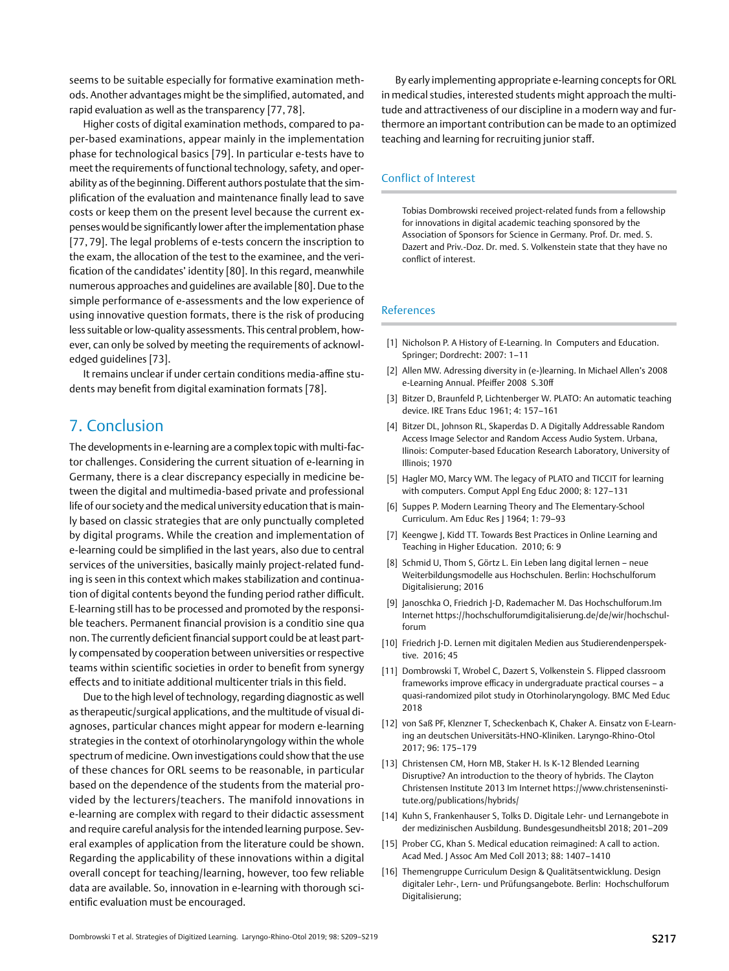<span id="page-8-0"></span>seems to be suitable especially for formative examination methods. Another advantages might be the simplified, automated, and rapid evaluation as well as the transparency [77, 78].

Higher costs of digital examination methods, compared to paper-based examinations, appear mainly in the implementation phase for technological basics [79]. In particular e-tests have to meet the requirements of functional technology, safety, and operability as of the beginning. Different authors postulate that the simplification of the evaluation and maintenance finally lead to save costs or keep them on the present level because the current expenses would be significantly lower after the implementation phase [77, 79]. The legal problems of e-tests concern the inscription to the exam, the allocation of the test to the examinee, and the verification of the candidates' identity [80]. In this regard, meanwhile numerous approaches and guidelines are available [80]. Due to the simple performance of e-assessments and the low experience of using innovative question formats, there is the risk of producing less suitable or low-quality assessments. This central problem, however, can only be solved by meeting the requirements of acknowledged guidelines [73].

It remains unclear if under certain conditions media-affine students may benefit from digital examination formats [78].

## 7. Conclusion

The developments in e-learning are a complex topic with multi-factor challenges. Considering the current situation of e-learning in Germany, there is a clear discrepancy especially in medicine between the digital and multimedia-based private and professional life of our society and the medical university education that is mainly based on classic strategies that are only punctually completed by digital programs. While the creation and implementation of e-learning could be simplified in the last years, also due to central services of the universities, basically mainly project-related funding is seen in this context which makes stabilization and continuation of digital contents beyond the funding period rather difficult. E-learning still has to be processed and promoted by the responsible teachers. Permanent financial provision is a conditio sine qua non. The currently deficient financial support could be at least partly compensated by cooperation between universities or respective teams within scientific societies in order to benefit from synergy effects and to initiate additional multicenter trials in this field.

Due to the high level of technology, regarding diagnostic as well as therapeutic/surgical applications, and the multitude of visual diagnoses, particular chances might appear for modern e-learning strategies in the context of otorhinolaryngology within the whole spectrum of medicine. Own investigations could show that the use of these chances for ORL seems to be reasonable, in particular based on the dependence of the students from the material provided by the lecturers/teachers. The manifold innovations in e-learning are complex with regard to their didactic assessment and require careful analysis for the intended learning purpose. Several examples of application from the literature could be shown. Regarding the applicability of these innovations within a digital overall concept for teaching/learning, however, too few reliable data are available. So, innovation in e-learning with thorough scientific evaluation must be encouraged.

By early implementing appropriate e-learning concepts for ORL in medical studies, interested students might approach the multitude and attractiveness of our discipline in a modern way and furthermore an important contribution can be made to an optimized teaching and learning for recruiting junior staff.

## Conflict of Interest

Tobias Dombrowski received project-related funds from a fellowship for innovations in digital academic teaching sponsored by the Association of Sponsors for Science in Germany. Prof. Dr. med. S. Dazert and Priv.-Doz. Dr. med. S. Volkenstein state that they have no conflict of interest.

## References

- [1] Nicholson P. A History of E-Learning. In Computers and Education. Springer; Dordrecht: 2007: 1–11
- [2] Allen MW. Adressing diversity in (e-)learning. In Michael Allen's 2008 e-Learning Annual. Pfeiffer 2008 S.30ff
- [3] Bitzer D, Braunfeld P, Lichtenberger W. PLATO: An automatic teaching device. IRE Trans Educ 1961; 4: 157–161
- [4] Bitzer DL, Johnson RL, Skaperdas D. A Digitally Addressable Random Access Image Selector and Random Access Audio System. Urbana, Ilinois: Computer-based Education Research Laboratory, University of Illinois; 1970
- [5] Hagler MO, Marcy WM. The legacy of PLATO and TICCIT for learning with computers. Comput Appl Eng Educ 2000; 8: 127–131
- [6] Suppes P. Modern Learning Theory and The Elementary-School Curriculum. Am Educ Res J 1964; 1: 79–93
- [7] Keengwe J, Kidd TT. Towards Best Practices in Online Learning and Teaching in Higher Education. 2010; 6: 9
- [8] Schmid U, Thom S, Görtz L. Ein Leben lang digital lernen neue Weiterbildungsmodelle aus Hochschulen. Berlin: Hochschulforum Digitalisierung; 2016
- [9] Janoschka O, Friedrich J-D, Rademacher M. Das Hochschulforum.Im Internet [https://hochschulforumdigitalisierung.de/de/wir/hochschul](http://https://hochschulforumdigitalisierung.de/de/wir/hochschulforum)[forum](http://https://hochschulforumdigitalisierung.de/de/wir/hochschulforum)
- [10] Friedrich J-D. Lernen mit digitalen Medien aus Studierendenperspektive. 2016; 45
- [11] Dombrowski T, Wrobel C, Dazert S, Volkenstein S. Flipped classroom frameworks improve efficacy in undergraduate practical courses – a quasi-randomized pilot study in Otorhinolaryngology. BMC Med Educ 2018
- [12] von Saß PF, Klenzner T, Scheckenbach K, Chaker A. Einsatz von E-Learning an deutschen Universitäts-HNO-Kliniken. Laryngo-Rhino-Otol 2017; 96: 175–179
- [13] Christensen CM, Horn MB, Staker H. Is K-12 Blended Learning Disruptive? An introduction to the theory of hybrids. The Clayton Christensen Institute 2013 Im Internet [https://www.christenseninsti](http://https://www.christenseninstitute.org/publications/hybrids/)[tute.org/publications/hybrids/](http://https://www.christenseninstitute.org/publications/hybrids/)
- [14] Kuhn S, Frankenhauser S, Tolks D. Digitale Lehr- und Lernangebote in der medizinischen Ausbildung. Bundesgesundheitsbl 2018; 201–209
- [15] Prober CG, Khan S. Medical education reimagined: A call to action. Acad Med. J Assoc Am Med Coll 2013; 88: 1407–1410
- [16] Themengruppe Curriculum Design & Qualitätsentwicklung. Design digitaler Lehr-, Lern- und Prüfungsangebote. Berlin: Hochschulforum Digitalisierung;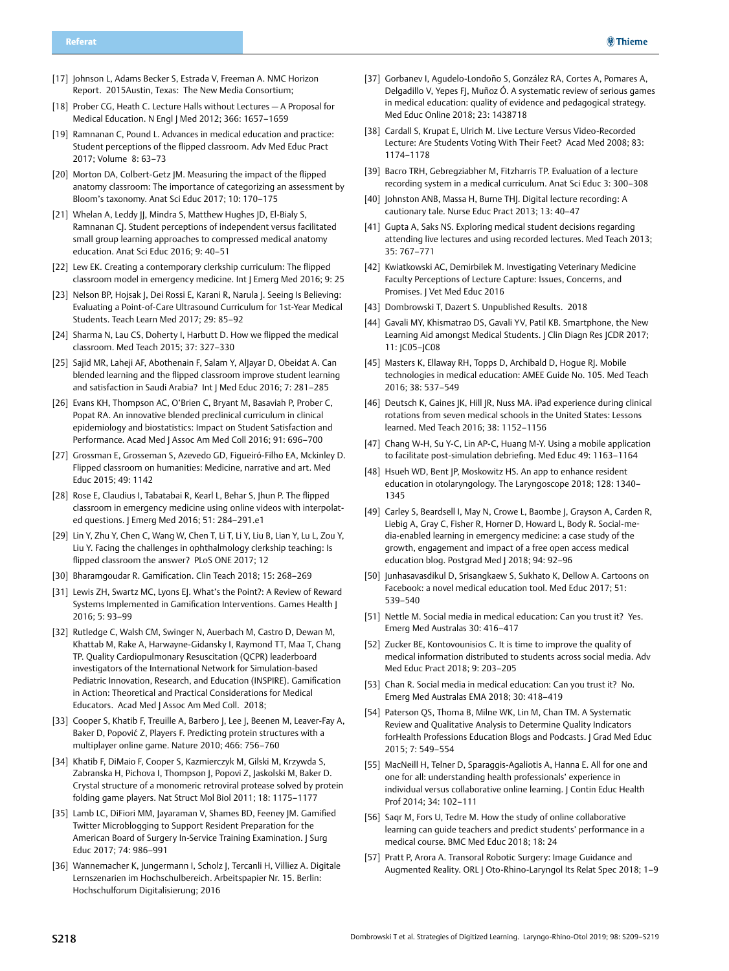- [17] Johnson L, Adams Becker S, Estrada V, Freeman A. NMC Horizon Report. 2015Austin, Texas: The New Media Consortium;
- [18] Prober CG, Heath C. Lecture Halls without Lectures A Proposal for Medical Education. N Engl J Med 2012; 366: 1657–1659
- [19] Ramnanan C, Pound L. Advances in medical education and practice: Student perceptions of the flipped classroom. Adv Med Educ Pract 2017; Volume 8: 63–73
- [20] Morton DA, Colbert-Getz JM. Measuring the impact of the flipped anatomy classroom: The importance of categorizing an assessment by Bloom's taxonomy. Anat Sci Educ 2017; 10: 170–175
- [21] Whelan A, Leddy JJ, Mindra S, Matthew Hughes JD, El-Bialy S, Ramnanan CJ. Student perceptions of independent versus facilitated small group learning approaches to compressed medical anatomy education. Anat Sci Educ 2016; 9: 40–51
- [22] Lew EK. Creating a contemporary clerkship curriculum: The flipped classroom model in emergency medicine. Int J Emerg Med 2016; 9: 25
- [23] Nelson BP, Hojsak J, Dei Rossi E, Karani R, Narula J, Seeing Is Believing: Evaluating a Point-of-Care Ultrasound Curriculum for 1st-Year Medical Students. Teach Learn Med 2017; 29: 85–92
- [24] Sharma N, Lau CS, Doherty I, Harbutt D. How we flipped the medical classroom. Med Teach 2015; 37: 327–330
- [25] Sajid MR, Laheji AF, Abothenain F, Salam Y, AlJayar D, Obeidat A. Can blended learning and the flipped classroom improve student learning and satisfaction in Saudi Arabia? Int J Med Educ 2016; 7: 281–285
- [26] Evans KH, Thompson AC, O'Brien C, Bryant M, Basaviah P, Prober C, Popat RA. An innovative blended preclinical curriculum in clinical epidemiology and biostatistics: Impact on Student Satisfaction and Performance. Acad Med J Assoc Am Med Coll 2016; 91: 696–700
- [27] Grossman E, Grosseman S, Azevedo GD, Figueiró-Filho EA, Mckinley D. Flipped classroom on humanities: Medicine, narrative and art. Med Educ 2015; 49: 1142
- [28] Rose E, Claudius I, Tabatabai R, Kearl L, Behar S, Jhun P. The flipped classroom in emergency medicine using online videos with interpolated questions. J Emerg Med 2016; 51: 284–291.e1
- [29] Lin Y, Zhu Y, Chen C, Wang W, Chen T, Li T, Li Y, Liu B, Lian Y, Lu L, Zou Y, Liu Y. Facing the challenges in ophthalmology clerkship teaching: Is flipped classroom the answer? PLoS ONE 2017; 12
- [30] Bharamgoudar R. Gamification. Clin Teach 2018; 15: 268–269
- [31] Lewis ZH, Swartz MC, Lyons EJ. What's the Point?: A Review of Reward Systems Implemented in Gamification Interventions. Games Health J 2016; 5: 93–99
- [32] Rutledge C, Walsh CM, Swinger N, Auerbach M, Castro D, Dewan M, Khattab M, Rake A, Harwayne-Gidansky I, Raymond TT, Maa T, Chang TP. Quality Cardiopulmonary Resuscitation (QCPR) leaderboard investigators of the International Network for Simulation-based Pediatric Innovation, Research, and Education (INSPIRE). Gamification in Action: Theoretical and Practical Considerations for Medical Educators. Acad Med J Assoc Am Med Coll. 2018;
- [33] Cooper S, Khatib F, Treuille A, Barbero J, Lee J, Beenen M, Leaver-Fay A, Baker D, Popović Z, Players F. Predicting protein structures with a multiplayer online game. Nature 2010; 466: 756–760
- [34] Khatib F, DiMaio F, Cooper S, Kazmierczyk M, Gilski M, Krzywda S, Zabranska H, Pichova I, Thompson J, Popovi Z, Jaskolski M, Baker D. Crystal structure of a monomeric retroviral protease solved by protein folding game players. Nat Struct Mol Biol 2011; 18: 1175–1177
- [35] Lamb LC, DiFiori MM, Jayaraman V, Shames BD, Feeney JM. Gamified Twitter Microblogging to Support Resident Preparation for the American Board of Surgery In-Service Training Examination. J Surg Educ 2017; 74: 986–991
- [36] Wannemacher K, Jungermann I, Scholz J, Tercanli H, Villiez A. Digitale Lernszenarien im Hochschulbereich. Arbeitspapier Nr. 15. Berlin: Hochschulforum Digitalisierung; 2016
- [37] Gorbanev I, Agudelo-Londoño S, González RA, Cortes A, Pomares A, Delgadillo V, Yepes FJ, Muñoz Ó. A systematic review of serious games in medical education: quality of evidence and pedagogical strategy. Med Educ Online 2018; 23: 1438718
- [38] Cardall S, Krupat E, Ulrich M. Live Lecture Versus Video-Recorded Lecture: Are Students Voting With Their Feet? Acad Med 2008; 83: 1174–1178
- [39] Bacro TRH, Gebregziabher M, Fitzharris TP. Evaluation of a lecture recording system in a medical curriculum. Anat Sci Educ 3: 300–308
- [40] Johnston ANB, Massa H, Burne THJ. Digital lecture recording: A cautionary tale. Nurse Educ Pract 2013; 13: 40–47
- [41] Gupta A, Saks NS. Exploring medical student decisions regarding attending live lectures and using recorded lectures. Med Teach 2013; 35: 767–771
- [42] Kwiatkowski AC, Demirbilek M. Investigating Veterinary Medicine Faculty Perceptions of Lecture Capture: Issues, Concerns, and Promises. J Vet Med Educ 2016
- [43] Dombrowski T, Dazert S. Unpublished Results. 2018
- [44] Gavali MY, Khismatrao DS, Gavali YV, Patil KB. Smartphone, the New Learning Aid amongst Medical Students. J Clin Diagn Res JCDR 2017; 11: JC05–JC08
- [45] Masters K, Ellaway RH, Topps D, Archibald D, Hogue RJ. Mobile technologies in medical education: AMEE Guide No. 105. Med Teach 2016; 38: 537–549
- [46] Deutsch K, Gaines JK, Hill JR, Nuss MA. iPad experience during clinical rotations from seven medical schools in the United States: Lessons learned. Med Teach 2016; 38: 1152–1156
- [47] Chang W-H, Su Y-C, Lin AP-C, Huang M-Y. Using a mobile application to facilitate post-simulation debriefing. Med Educ 49: 1163–1164
- [48] Hsueh WD, Bent JP, Moskowitz HS. An app to enhance resident education in otolaryngology. The Laryngoscope 2018; 128: 1340– 1345
- [49] Carley S, Beardsell I, May N, Crowe L, Baombe J, Grayson A, Carden R, Liebig A, Gray C, Fisher R, Horner D, Howard L, Body R. Social-media-enabled learning in emergency medicine: a case study of the growth, engagement and impact of a free open access medical education blog. Postgrad Med | 2018; 94: 92-96
- [50] Junhasavasdikul D, Srisangkaew S, Sukhato K, Dellow A. Cartoons on Facebook: a novel medical education tool. Med Educ 2017; 51: 539–540
- [51] Nettle M. Social media in medical education: Can you trust it? Yes. Emerg Med Australas 30: 416–417
- [52] Zucker BE, Kontovounisios C. It is time to improve the quality of medical information distributed to students across social media. Adv Med Educ Pract 2018; 9: 203–205
- [53] Chan R. Social media in medical education: Can you trust it? No. Emerg Med Australas EMA 2018; 30: 418–419
- [54] Paterson QS, Thoma B, Milne WK, Lin M, Chan TM. A Systematic Review and Qualitative Analysis to Determine Quality Indicators forHealth Professions Education Blogs and Podcasts. J Grad Med Educ 2015; 7: 549–554
- [55] MacNeill H, Telner D, Sparaggis-Agaliotis A, Hanna E. All for one and one for all: understanding health professionals' experience in individual versus collaborative online learning. J Contin Educ Health Prof 2014; 34: 102–111
- [56] Saqr M, Fors U, Tedre M. How the study of online collaborative learning can guide teachers and predict students' performance in a medical course. BMC Med Educ 2018; 18: 24
- [57] Pratt P, Arora A. Transoral Robotic Surgery: Image Guidance and Augmented Reality. ORL | Oto-Rhino-Laryngol Its Relat Spec 2018; 1-9